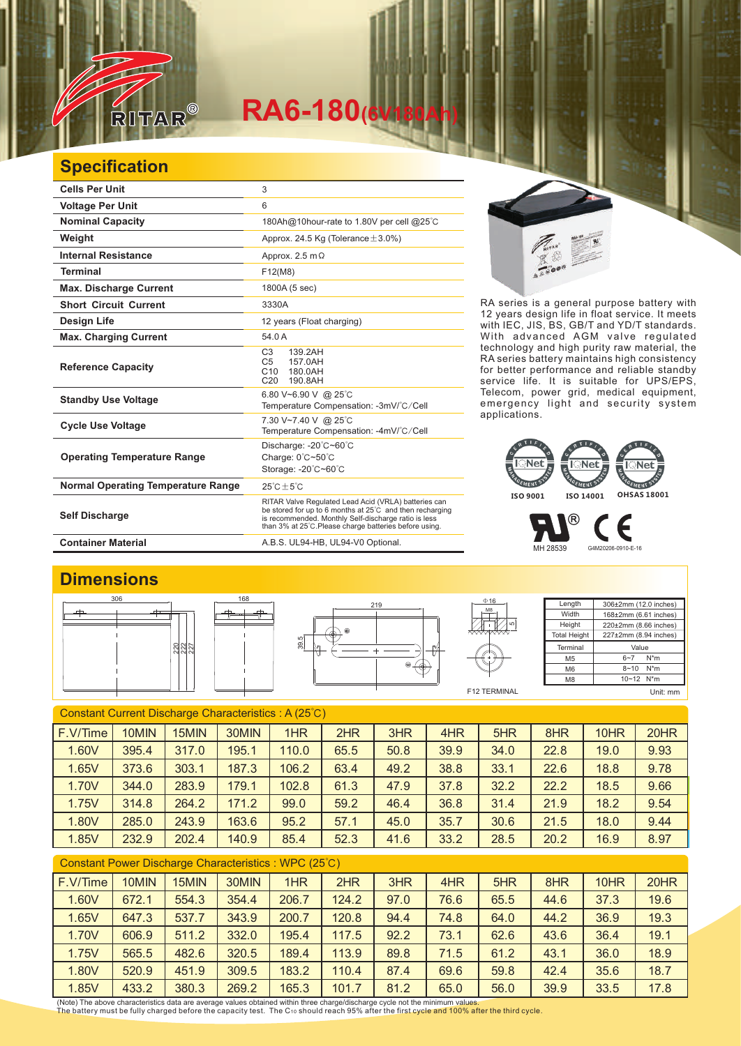

# $R$ A6-180<sup>(6)</sup>

### **Specification**

| <b>Cells Per Unit</b>                     | 3                                                                                                                                                                                                                                  |
|-------------------------------------------|------------------------------------------------------------------------------------------------------------------------------------------------------------------------------------------------------------------------------------|
| <b>Voltage Per Unit</b>                   | 6                                                                                                                                                                                                                                  |
| <b>Nominal Capacity</b>                   | 180Ah@10hour-rate to 1.80V per cell @25°C                                                                                                                                                                                          |
| Weight                                    | Approx. 24.5 Kg (Tolerance $\pm$ 3.0%)                                                                                                                                                                                             |
| <b>Internal Resistance</b>                | Approx. 2.5 m $\Omega$                                                                                                                                                                                                             |
| <b>Terminal</b>                           | F12(M8)                                                                                                                                                                                                                            |
| <b>Max. Discharge Current</b>             | 1800A (5 sec)                                                                                                                                                                                                                      |
| <b>Short Circuit Current</b>              | 3330A                                                                                                                                                                                                                              |
| <b>Design Life</b>                        | 12 years (Float charging)                                                                                                                                                                                                          |
| <b>Max. Charging Current</b>              | 54.0 A                                                                                                                                                                                                                             |
| <b>Reference Capacity</b>                 | C <sub>3</sub><br>139.2AH<br>157.0AH<br>C <sub>5</sub><br>C10<br>180.0AH<br>C <sub>20</sub><br>190.8AH                                                                                                                             |
| <b>Standby Use Voltage</b>                | 6.80 V~6.90 V @ 25°C<br>Temperature Compensation: -3mV/°C/Cell                                                                                                                                                                     |
| <b>Cycle Use Voltage</b>                  | 7.30 V~7.40 V @ 25°C<br>Temperature Compensation: -4mV/°C/Cell                                                                                                                                                                     |
| <b>Operating Temperature Range</b>        | Discharge: -20°C~60°C<br>Charge: 0°C~50°C<br>Storage: -20°C~60°C                                                                                                                                                                   |
| <b>Normal Operating Temperature Range</b> | $25^{\circ}$ C + $5^{\circ}$ C                                                                                                                                                                                                     |
| <b>Self Discharge</b>                     | RITAR Valve Regulated Lead Acid (VRLA) batteries can<br>be stored for up to 6 months at 25°C and then recharging<br>is recommended. Monthly Self-discharge ratio is less<br>than 3% at 25°C. Please charge batteries before using. |
| <b>Container Material</b>                 | A.B.S. UL94-HB, UL94-V0 Optional.                                                                                                                                                                                                  |



RA series is a general purpose battery with 12 years design life in float service. It meets with IEC, JIS, BS, GB/T and YD/T standards. With advanced AGM valve regulated technology and high purity raw material, the RA series battery maintains high consistency for better performance and reliable standby service life. It is suitable for UPS/EPS, Telecom, power grid, medical equipment, emergency light and security system applications.

#### **Net Net**  $\overline{\phantom{a}}$ Net GEMENT SY GEMENT SYS GEMENT S **ISO 9001 ISO 14001 OHSAS 18001**

MH 28539 G4M20206-0910-E-16

®

### **Dimensions**







Length **Width Height Total Height** 306±2mm (12.0 inches) 168±2mm (6.61 inches) 220±2mm (8.66 inches) 227±2mm (8.94 inches) Terminal M5 M6 M8 Value 6~7 N\*m 8~10 N\*m 10~12 N\*m

Е

F12 TERMINAL

Unit: mm

| Constant Current Discharge Characteristics: A (25°C) |       |       |       |       |      |      |      |      |      |      |      |
|------------------------------------------------------|-------|-------|-------|-------|------|------|------|------|------|------|------|
| F.V/Time                                             | 10MIN | 15MIN | 30MIN | 1HR   | 2HR  | 3HR  | 4HR  | 5HR  | 8HR  | 10HR | 20HR |
| 1.60V                                                | 395.4 | 317.0 | 195.1 | 110.0 | 65.5 | 50.8 | 39.9 | 34.0 | 22.8 | 19.0 | 9.93 |
| 1.65V                                                | 373.6 | 303.1 | 187.3 | 106.2 | 63.4 | 49.2 | 38.8 | 33.1 | 22.6 | 18.8 | 9.78 |
| 1.70V                                                | 344.0 | 283.9 | 179.1 | 102.8 | 61.3 | 47.9 | 37.8 | 32.2 | 22.2 | 18.5 | 9.66 |
| 1.75V                                                | 314.8 | 264.2 | 171.2 | 99.0  | 59.2 | 46.4 | 36.8 | 31.4 | 21.9 | 18.2 | 9.54 |
| 1.80V                                                | 285.0 | 243.9 | 163.6 | 95.2  | 57.1 | 45.0 | 35.7 | 30.6 | 21.5 | 18.0 | 9.44 |
| 1.85V                                                | 232.9 | 202.4 | 140.9 | 85.4  | 52.3 | 41.6 | 33.2 | 28.5 | 20.2 | 16.9 | 8.97 |
|                                                      |       |       |       |       |      |      |      |      |      |      |      |

#### Constant Power Discharge Characteristics : WPC (25℃)

| F.V/Time | 10MIN | 15MIN | 30MIN | 1HR   | 2HR   | 3HR  | 4HR  | 5HR  | 8HR  | 10HR | 20HR |
|----------|-------|-------|-------|-------|-------|------|------|------|------|------|------|
| 1.60V    | 672.1 | 554.3 | 354.4 | 206.7 | 124.2 | 97.0 | 76.6 | 65.5 | 44.6 | 37.3 | 19.6 |
| 1.65V    | 647.3 | 537.7 | 343.9 | 200.7 | 120.8 | 94.4 | 74.8 | 64.0 | 44.2 | 36.9 | 19.3 |
| 1.70V    | 606.9 | 511.2 | 332.0 | 195.4 | 117.5 | 92.2 | 73.1 | 62.6 | 43.6 | 36.4 | 19.1 |
| 1.75V    | 565.5 | 482.6 | 320.5 | 189.4 | 113.9 | 89.8 | 71.5 | 61.2 | 43.1 | 36.0 | 18.9 |
| 1.80V    | 520.9 | 451.9 | 309.5 | 183.2 | 110.4 | 87.4 | 69.6 | 59.8 | 42.4 | 35.6 | 18.7 |
| 1.85V    | 433.2 | 380.3 | 269.2 | 165.3 | 101.7 | 81.2 | 65.0 | 56.0 | 39.9 | 33.5 | 17.8 |

(Note) The above characteristics data are average values obtained within three charge/discharge cycle not the minimum values.<br>The battery must be fully charged before the capacity test. The C10 should reach 95% after the